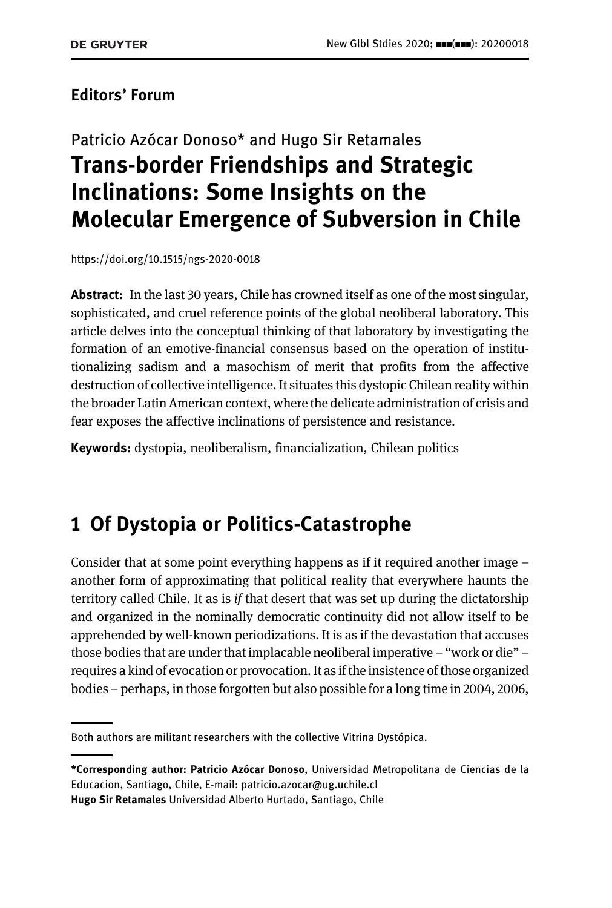#### Editors' Forum

# Patricio Azócar Donoso\* and Hugo Sir Retamales Trans-border Friendships and Strategic Inclinations: Some Insights on the Molecular Emergence of Subversion in Chile

<https://doi.org/10.1515/ngs-2020-0018>

Abstract: In the last 30 years, Chile has crowned itself as one of the most singular, sophisticated, and cruel reference points of the global neoliberal laboratory. This article delves into the conceptual thinking of that laboratory by investigating the formation of an emotive-financial consensus based on the operation of institutionalizing sadism and a masochism of merit that profits from the affective destruction of collective intelligence. It situates this dystopic Chilean reality within the broader Latin American context, where the delicate administration of crisis and fear exposes the affective inclinations of persistence and resistance.

Keywords: dystopia, neoliberalism, financialization, Chilean politics

### 1 Of Dystopia or Politics-Catastrophe

Consider that at some point everything happens as if it required another image – another form of approximating that political reality that everywhere haunts the territory called Chile. It as is  $if$  that desert that was set up during the dictatorship and organized in the nominally democratic continuity did not allow itself to be apprehended by well-known periodizations. It is as if the devastation that accuses those bodies that are under that implacable neoliberal imperative – "work or die" – requires a kind of evocation or provocation. It as if the insistence of those organized bodies – perhaps, in those forgotten but also possible for a long time in 2004, 2006,

Both authors are militant researchers with the collective Vitrina Dystópica.

<sup>\*</sup>Corresponding author: Patricio Azócar Donoso, Universidad Metropolitana de Ciencias de la Educacion, Santiago, Chile, E-mail: [patricio.azocar@ug.uchile.cl](mailto:patricio.azocar@ug.uchile.cl) Hugo Sir Retamales Universidad Alberto Hurtado, Santiago, Chile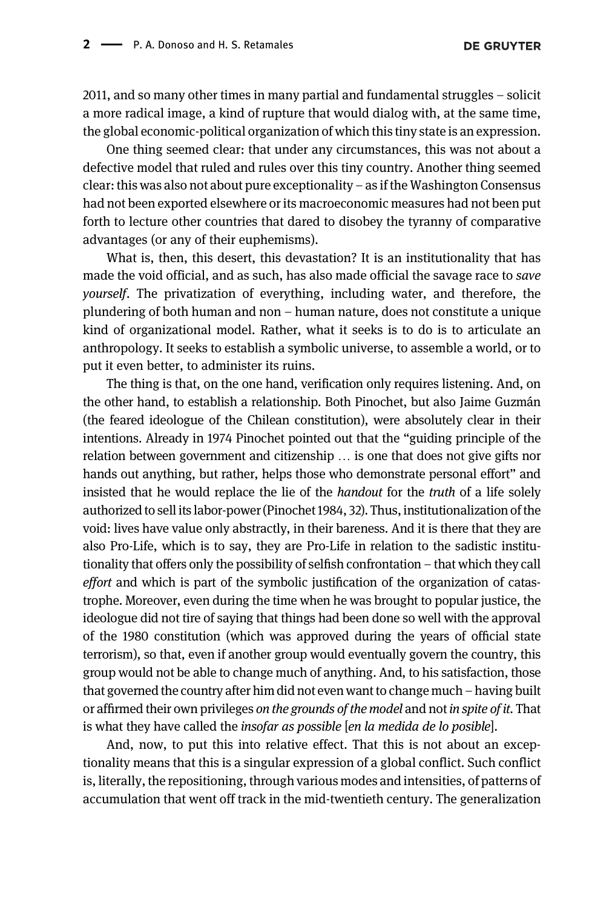2011, and so many other times in many partial and fundamental struggles – solicit a more radical image, a kind of rupture that would dialog with, at the same time, the global economic-political organization of which this tiny state is an expression.

One thing seemed clear: that under any circumstances, this was not about a defective model that ruled and rules over this tiny country. Another thing seemed clear: this was also not about pure exceptionality – as if the Washington Consensus had not been exported elsewhere or its macroeconomic measures had not been put forth to lecture other countries that dared to disobey the tyranny of comparative advantages (or any of their euphemisms).

What is, then, this desert, this devastation? It is an institutionality that has made the void official, and as such, has also made official the savage race to save yourself. The privatization of everything, including water, and therefore, the plundering of both human and non – human nature, does not constitute a unique kind of organizational model. Rather, what it seeks is to do is to articulate an anthropology. It seeks to establish a symbolic universe, to assemble a world, or to put it even better, to administer its ruins.

The thing is that, on the one hand, verification only requires listening. And, on the other hand, to establish a relationship. Both Pinochet, but also Jaime Guzmán (the feared ideologue of the Chilean constitution), were absolutely clear in their intentions. Already in 1974 Pinochet pointed out that the "guiding principle of the relation between government and citizenship … is one that does not give gifts nor hands out anything, but rather, helps those who demonstrate personal effort" and insisted that he would replace the lie of the handout for the truth of a life solely authorized to sell its labor-power ([Pinochet 1984](#page-8-0), 32). Thus, institutionalization of the void: lives have value only abstractly, in their bareness. And it is there that they are also Pro-Life, which is to say, they are Pro-Life in relation to the sadistic institutionality that offers only the possibility of selfish confrontation – that which they call effort and which is part of the symbolic justification of the organization of catastrophe. Moreover, even during the time when he was brought to popular justice, the ideologue did not tire of saying that things had been done so well with the approval of the 1980 constitution (which was approved during the years of official state terrorism), so that, even if another group would eventually govern the country, this group would not be able to change much of anything. And, to his satisfaction, those that governed the country after him did not even want to change much – having built or affirmed their own privileges on the grounds of the model and not in spite of it. That is what they have called the insofar as possible [en la medida de lo posible].

And, now, to put this into relative effect. That this is not about an exceptionality means that this is a singular expression of a global conflict. Such conflict is, literally, the repositioning, through various modes and intensities, of patterns of accumulation that went off track in the mid-twentieth century. The generalization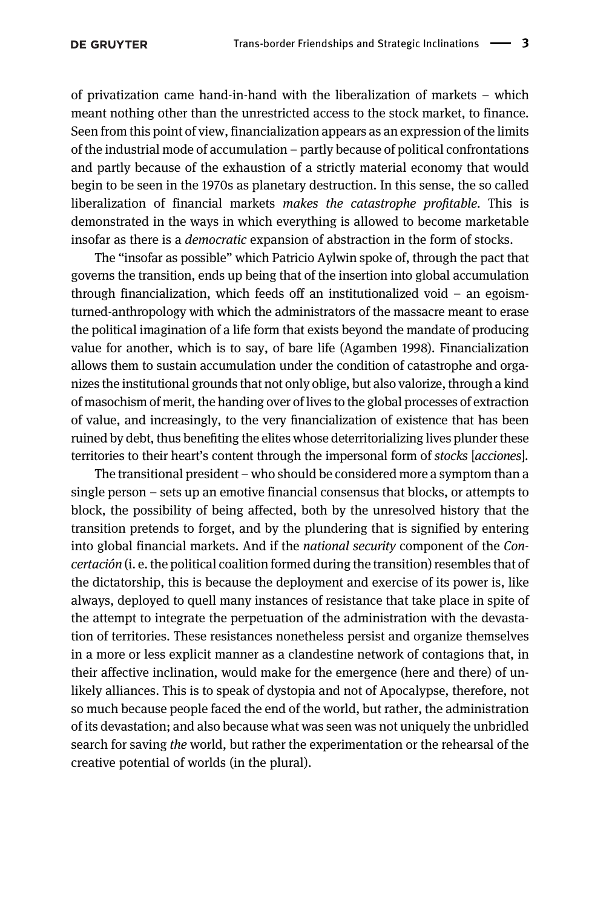of privatization came hand-in-hand with the liberalization of markets – which meant nothing other than the unrestricted access to the stock market, to finance. Seen from this point of view, financialization appears as an expression of the limits of the industrial mode of accumulation – partly because of political confrontations and partly because of the exhaustion of a strictly material economy that would begin to be seen in the 1970s as planetary destruction. In this sense, the so called liberalization of financial markets makes the catastrophe profitable. This is demonstrated in the ways in which everything is allowed to become marketable insofar as there is a democratic expansion of abstraction in the form of stocks.

The "insofar as possible" which Patricio Aylwin spoke of, through the pact that governs the transition, ends up being that of the insertion into global accumulation through financialization, which feeds off an institutionalized void – an egoismturned-anthropology with which the administrators of the massacre meant to erase the political imagination of a life form that exists beyond the mandate of producing value for another, which is to say, of bare life ([Agamben 1998\)](#page-8-1). Financialization allows them to sustain accumulation under the condition of catastrophe and organizes the institutional grounds that not only oblige, but also valorize, through a kind of masochism of merit, the handing over of lives to the global processes of extraction of value, and increasingly, to the very financialization of existence that has been ruined by debt, thus benefiting the elites whose deterritorializing lives plunder these territories to their heart's content through the impersonal form of stocks [acciones].

The transitional president – who should be considered more a symptom than a single person – sets up an emotive financial consensus that blocks, or attempts to block, the possibility of being affected, both by the unresolved history that the transition pretends to forget, and by the plundering that is signified by entering into global financial markets. And if the national security component of the Concertación (i. e. the political coalition formed during the transition) resembles that of the dictatorship, this is because the deployment and exercise of its power is, like always, deployed to quell many instances of resistance that take place in spite of the attempt to integrate the perpetuation of the administration with the devastation of territories. These resistances nonetheless persist and organize themselves in a more or less explicit manner as a clandestine network of contagions that, in their affective inclination, would make for the emergence (here and there) of unlikely alliances. This is to speak of dystopia and not of Apocalypse, therefore, not so much because people faced the end of the world, but rather, the administration of its devastation; and also because what was seen was not uniquely the unbridled search for saving the world, but rather the experimentation or the rehearsal of the creative potential of worlds (in the plural).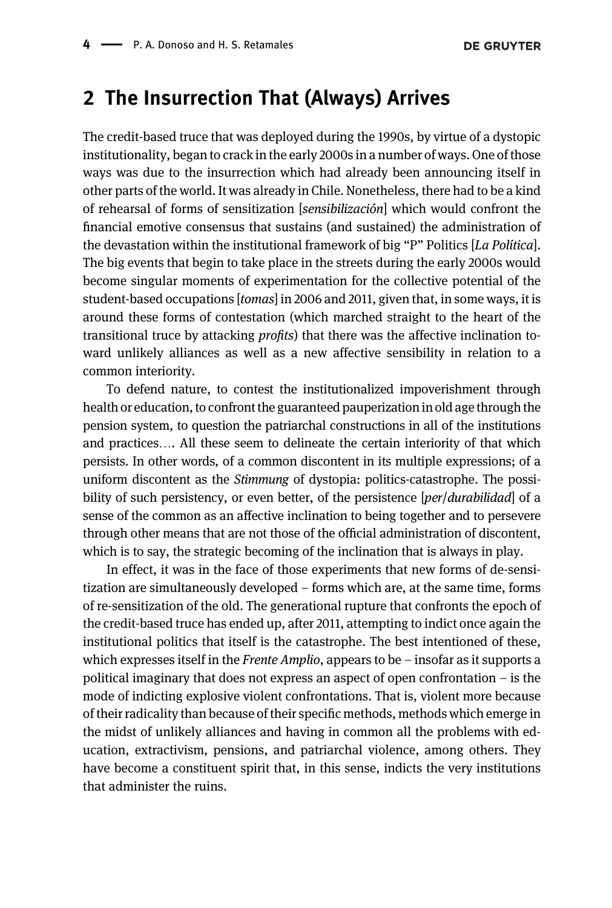#### 2 The Insurrection That (Always) Arrives

The credit-based truce that was deployed during the 1990s, by virtue of a dystopic institutionality, began to crack in the early 2000s in a number of ways. One of those ways was due to the insurrection which had already been announcing itself in other parts of the world. It was already in Chile. Nonetheless, there had to be a kind of rehearsal of forms of sensitization [sensibilización] which would confront the financial emotive consensus that sustains (and sustained) the administration of the devastation within the institutional framework of big "P" Politics [La Política]. The big events that begin to take place in the streets during the early 2000s would become singular moments of experimentation for the collective potential of the student-based occupations [tomas] in 2006 and 2011, given that, in some ways, it is around these forms of contestation (which marched straight to the heart of the transitional truce by attacking profits) that there was the affective inclination toward unlikely alliances as well as a new affective sensibility in relation to a common interiority.

To defend nature, to contest the institutionalized impoverishment through health or education, to confront the guaranteed pauperization in old age through the pension system, to question the patriarchal constructions in all of the institutions and practices…. All these seem to delineate the certain interiority of that which persists. In other words, of a common discontent in its multiple expressions; of a uniform discontent as the Stimmung of dystopia: politics-catastrophe. The possibility of such persistency, or even better, of the persistence [*per*/*durabilidad*] of a sense of the common as an affective inclination to being together and to persevere through other means that are not those of the official administration of discontent, which is to say, the strategic becoming of the inclination that is always in play.

In effect, it was in the face of those experiments that new forms of de-sensitization are simultaneously developed – forms which are, at the same time, forms of re-sensitization of the old. The generational rupture that confronts the epoch of the credit-based truce has ended up, after 2011, attempting to indict once again the institutional politics that itself is the catastrophe. The best intentioned of these, which expresses itself in the *Frente Amplio*, appears to be  $-$  insofar as it supports a political imaginary that does not express an aspect of open confrontation – is the mode of indicting explosive violent confrontations. That is, violent more because of their radicality than because of their specific methods, methods which emerge in the midst of unlikely alliances and having in common all the problems with education, extractivism, pensions, and patriarchal violence, among others. They have become a constituent spirit that, in this sense, indicts the very institutions that administer the ruins.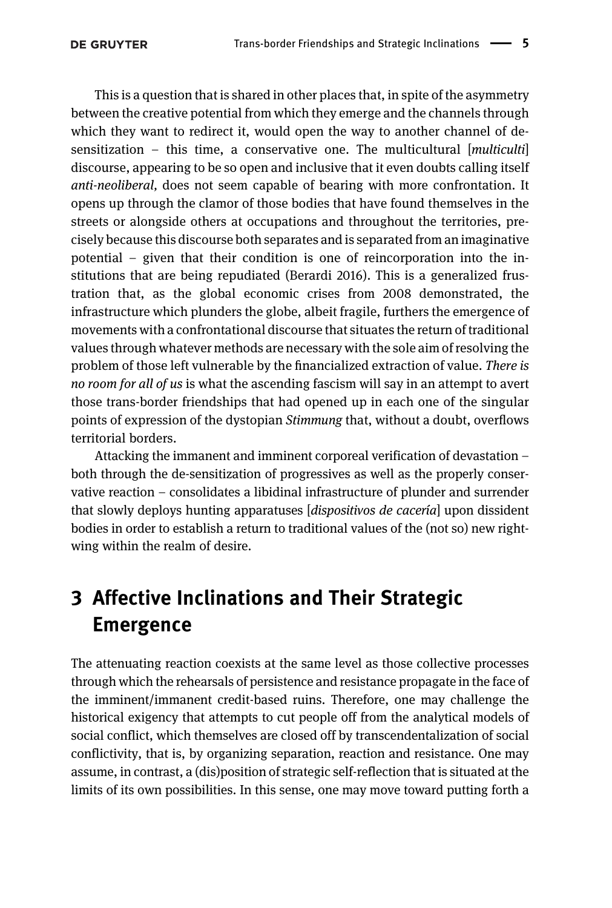This is a question that is shared in other places that, in spite of the asymmetry between the creative potential from which they emerge and the channels through which they want to redirect it, would open the way to another channel of desensitization – this time, a conservative one. The multicultural  $[multicular]$ discourse, appearing to be so open and inclusive that it even doubts calling itself anti-neoliberal, does not seem capable of bearing with more confrontation. It opens up through the clamor of those bodies that have found themselves in the streets or alongside others at occupations and throughout the territories, precisely because this discourse both separates and is separated from an imaginative potential – given that their condition is one of reincorporation into the institutions that are being repudiated ([Berardi 2016](#page-8-2)). This is a generalized frustration that, as the global economic crises from 2008 demonstrated, the infrastructure which plunders the globe, albeit fragile, furthers the emergence of movements with a confrontational discourse that situates the return of traditional values through whatever methods are necessary with the sole aim of resolving the problem of those left vulnerable by the financialized extraction of value. There is no room for all of us is what the ascending fascism will say in an attempt to avert those trans-border friendships that had opened up in each one of the singular points of expression of the dystopian Stimmung that, without a doubt, overflows territorial borders.

Attacking the immanent and imminent corporeal verification of devastation – both through the de-sensitization of progressives as well as the properly conservative reaction – consolidates a libidinal infrastructure of plunder and surrender that slowly deploys hunting apparatuses [dispositivos de cacería] upon dissident bodies in order to establish a return to traditional values of the (not so) new rightwing within the realm of desire.

## 3 Affective Inclinations and Their Strategic Emergence

The attenuating reaction coexists at the same level as those collective processes through which the rehearsals of persistence and resistance propagate in the face of the imminent/immanent credit-based ruins. Therefore, one may challenge the historical exigency that attempts to cut people off from the analytical models of social conflict, which themselves are closed off by transcendentalization of social conflictivity, that is, by organizing separation, reaction and resistance. One may assume, in contrast, a (dis)position of strategic self-reflection that is situated at the limits of its own possibilities. In this sense, one may move toward putting forth a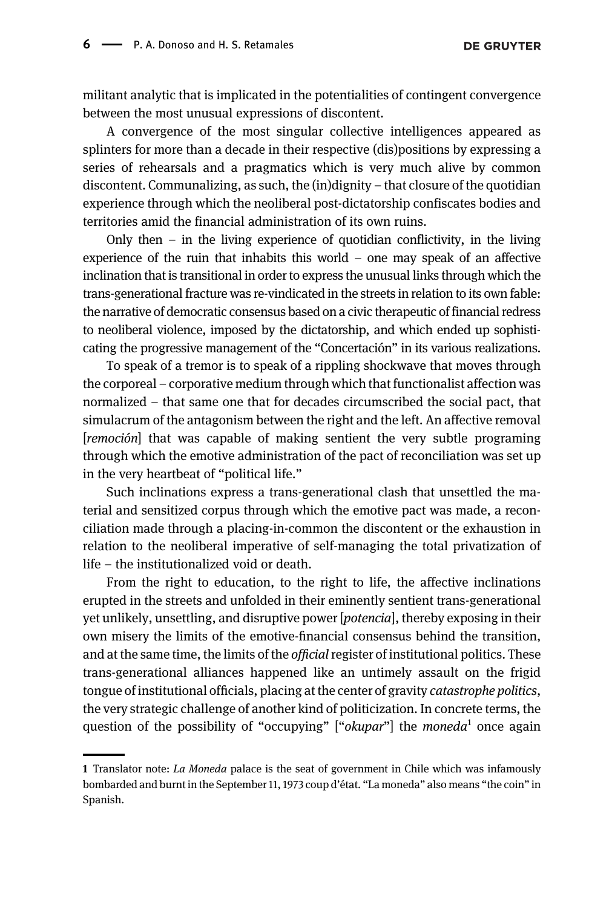militant analytic that is implicated in the potentialities of contingent convergence between the most unusual expressions of discontent.

A convergence of the most singular collective intelligences appeared as splinters for more than a decade in their respective (dis)positions by expressing a series of rehearsals and a pragmatics which is very much alive by common discontent. Communalizing, as such, the (in)dignity – that closure of the quotidian experience through which the neoliberal post-dictatorship confiscates bodies and territories amid the financial administration of its own ruins.

Only then  $-$  in the living experience of quotidian conflictivity, in the living experience of the ruin that inhabits this world – one may speak of an affective inclination that is transitional in order to express the unusual links through which the trans-generational fracture was re-vindicated in the streets in relation to its own fable: the narrative of democratic consensus based on a civic therapeutic of financial redress to neoliberal violence, imposed by the dictatorship, and which ended up sophisticating the progressive management of the "Concertación" in its various realizations.

To speak of a tremor is to speak of a rippling shockwave that moves through the corporeal – corporative medium through which that functionalist affection was normalized – that same one that for decades circumscribed the social pact, that simulacrum of the antagonism between the right and the left. An affective removal [remoción] that was capable of making sentient the very subtle programing through which the emotive administration of the pact of reconciliation was set up in the very heartbeat of "political life."

Such inclinations express a trans-generational clash that unsettled the material and sensitized corpus through which the emotive pact was made, a reconciliation made through a placing-in-common the discontent or the exhaustion in relation to the neoliberal imperative of self-managing the total privatization of life – the institutionalized void or death.

From the right to education, to the right to life, the affective inclinations erupted in the streets and unfolded in their eminently sentient trans-generational yet unlikely, unsettling, and disruptive power [potencia], thereby exposing in their own misery the limits of the emotive-financial consensus behind the transition, and at the same time, the limits of the *official* register of institutional politics. These trans-generational alliances happened like an untimely assault on the frigid tongue of institutional officials, placing at the center of gravity catastrophe politics, the very strategic challenge of another kind of politicization. In concrete terms, the question of the possibility of "occupying" ["okupar"] the moneda<sup>1</sup> once again

<sup>1</sup> Translator note: La Moneda palace is the seat of government in Chile which was infamously bombarded and burnt in the September 11, 1973 coup d'état. "La moneda" also means "the coin" in Spanish.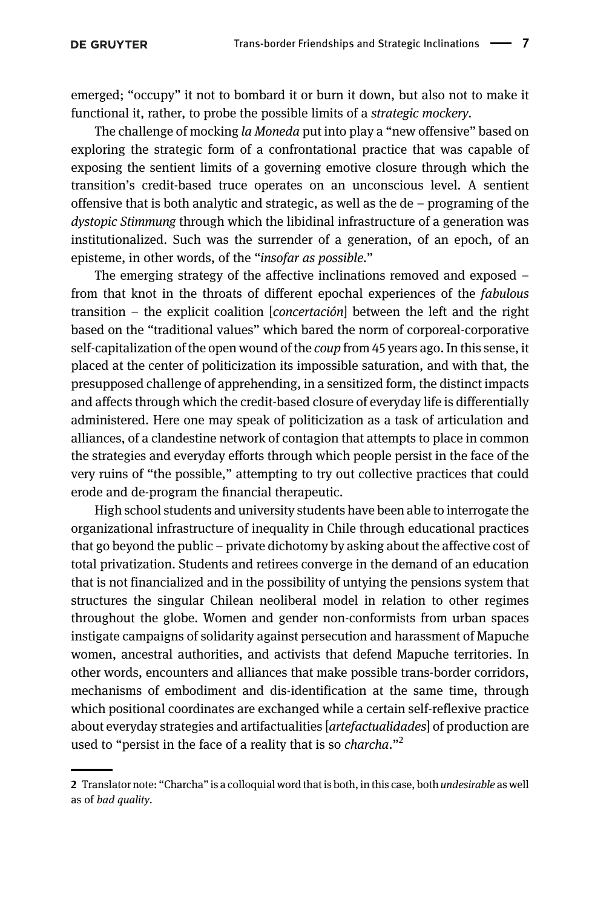emerged; "occupy" it not to bombard it or burn it down, but also not to make it functional it, rather, to probe the possible limits of a *strategic mockery*.

The challenge of mocking la Moneda put into play a "new offensive" based on exploring the strategic form of a confrontational practice that was capable of exposing the sentient limits of a governing emotive closure through which the transition's credit-based truce operates on an unconscious level. A sentient offensive that is both analytic and strategic, as well as the de – programing of the dystopic Stimmung through which the libidinal infrastructure of a generation was institutionalized. Such was the surrender of a generation, of an epoch, of an episteme, in other words, of the "insofar as possible."

The emerging strategy of the affective inclinations removed and exposed – from that knot in the throats of different epochal experiences of the fabulous transition – the explicit coalition [concertación] between the left and the right based on the "traditional values" which bared the norm of corporeal-corporative self-capitalization of the open wound of the coup from 45 years ago. In this sense, it placed at the center of politicization its impossible saturation, and with that, the presupposed challenge of apprehending, in a sensitized form, the distinct impacts and affects through which the credit-based closure of everyday life is differentially administered. Here one may speak of politicization as a task of articulation and alliances, of a clandestine network of contagion that attempts to place in common the strategies and everyday efforts through which people persist in the face of the very ruins of "the possible," attempting to try out collective practices that could erode and de-program the financial therapeutic.

High school students and university students have been able to interrogate the organizational infrastructure of inequality in Chile through educational practices that go beyond the public – private dichotomy by asking about the affective cost of total privatization. Students and retirees converge in the demand of an education that is not financialized and in the possibility of untying the pensions system that structures the singular Chilean neoliberal model in relation to other regimes throughout the globe. Women and gender non-conformists from urban spaces instigate campaigns of solidarity against persecution and harassment of Mapuche women, ancestral authorities, and activists that defend Mapuche territories. In other words, encounters and alliances that make possible trans-border corridors, mechanisms of embodiment and dis-identification at the same time, through which positional coordinates are exchanged while a certain self-reflexive practice about everyday strategies and artifactualities [artefactualidades] of production are used to "persist in the face of a reality that is so *charcha*."<sup>2</sup>

<sup>2</sup> Translator note: "Charcha" is a colloquial word that is both, in this case, both *undesirable* as well as of bad quality.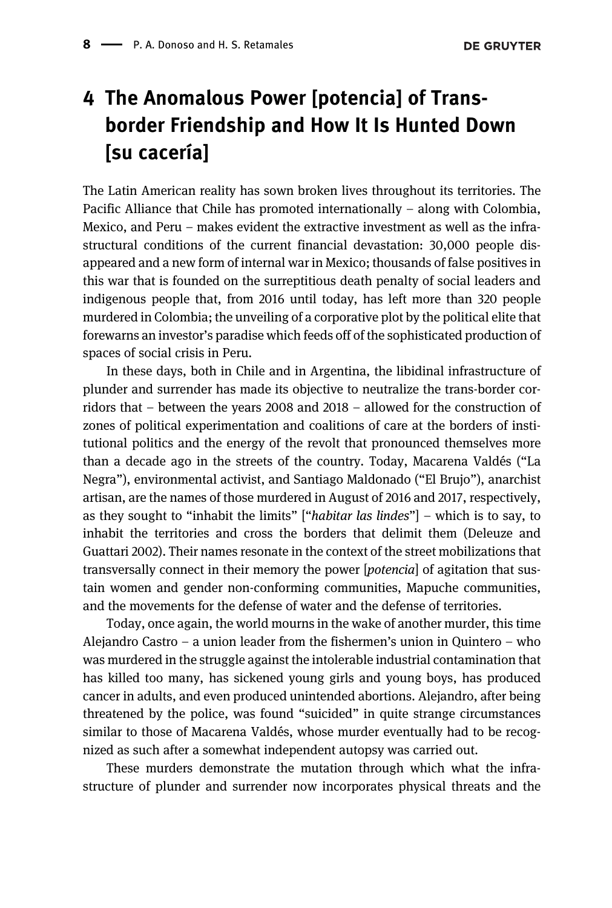### 4 The Anomalous Power [potencia] of Transborder Friendship and How It Is Hunted Down [su cacería]

The Latin American reality has sown broken lives throughout its territories. The Pacific Alliance that Chile has promoted internationally – along with Colombia, Mexico, and Peru – makes evident the extractive investment as well as the infrastructural conditions of the current financial devastation: 30,000 people disappeared and a new form of internal war in Mexico; thousands of false positives in this war that is founded on the surreptitious death penalty of social leaders and indigenous people that, from 2016 until today, has left more than 320 people murdered in Colombia; the unveiling of a corporative plot by the political elite that forewarns an investor's paradise which feeds off of the sophisticated production of spaces of social crisis in Peru.

In these days, both in Chile and in Argentina, the libidinal infrastructure of plunder and surrender has made its objective to neutralize the trans-border corridors that – between the years 2008 and 2018 – allowed for the construction of zones of political experimentation and coalitions of care at the borders of institutional politics and the energy of the revolt that pronounced themselves more than a decade ago in the streets of the country. Today, Macarena Valdés ("La Negra"), environmental activist, and Santiago Maldonado ("El Brujo"), anarchist artisan, are the names of those murdered in August of 2016 and 2017, respectively, as they sought to "inhabit the limits" ["habitar las lindes"] – which is to say, to inhabit the territories and cross the borders that delimit them ([Deleuze and](#page-8-3) [Guattari 2002\)](#page-8-3). Their names resonate in the context of the street mobilizations that transversally connect in their memory the power [potencia] of agitation that sustain women and gender non-conforming communities, Mapuche communities, and the movements for the defense of water and the defense of territories.

Today, once again, the world mourns in the wake of another murder, this time Alejandro Castro – a union leader from the fishermen's union in Quintero – who was murdered in the struggle against the intolerable industrial contamination that has killed too many, has sickened young girls and young boys, has produced cancer in adults, and even produced unintended abortions. Alejandro, after being threatened by the police, was found "suicided" in quite strange circumstances similar to those of Macarena Valdés, whose murder eventually had to be recognized as such after a somewhat independent autopsy was carried out.

These murders demonstrate the mutation through which what the infrastructure of plunder and surrender now incorporates physical threats and the